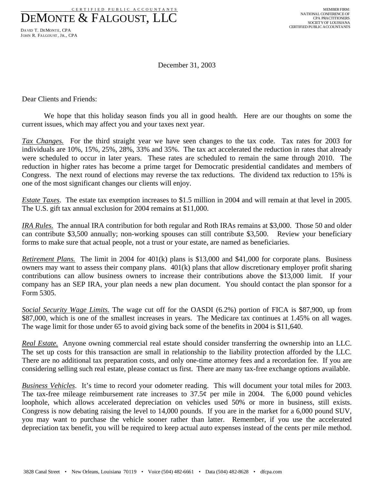C E R T I F I E D P U B L I C A C C O U N T A N T S DEMONTE & FALGOUST, LLC

DAVID T. DEMONTE, CPA JOHN R. FALGOUST, JR., CPA

December 31, 2003

Dear Clients and Friends:

We hope that this holiday season finds you all in good health. Here are our thoughts on some the current issues, which may affect you and your taxes next year.

*Tax Changes.* For the third straight year we have seen changes to the tax code. Tax rates for 2003 for individuals are 10%, 15%, 25%, 28%, 33% and 35%. The tax act accelerated the reduction in rates that already were scheduled to occur in later years. These rates are scheduled to remain the same through 2010. The reduction in higher rates has become a prime target for Democratic presidential candidates and members of Congress. The next round of elections may reverse the tax reductions. The dividend tax reduction to 15% is one of the most significant changes our clients will enjoy.

*Estate Taxes*. The estate tax exemption increases to \$1.5 million in 2004 and will remain at that level in 2005. The U.S. gift tax annual exclusion for 2004 remains at \$11,000.

*IRA Rules.* The annual IRA contribution for both regular and Roth IRAs remains at \$3,000. Those 50 and older can contribute \$3,500 annually; non-working spouses can still contribute \$3,500. Review your beneficiary forms to make sure that actual people, not a trust or your estate, are named as beneficiaries.

*Retirement Plans.* The limit in 2004 for 401(k) plans is \$13,000 and \$41,000 for corporate plans. Business owners may want to assess their company plans. 401(k) plans that allow discretionary employer profit sharing contributions can allow business owners to increase their contributions above the \$13,000 limit. If your company has an SEP IRA, your plan needs a new plan document. You should contact the plan sponsor for a Form 5305.

*Social Security Wage Limits.* The wage cut off for the OASDI (6.2%) portion of FICA is \$87,900, up from \$87,000, which is one of the smallest increases in years. The Medicare tax continues at 1.45% on all wages. The wage limit for those under 65 to avoid giving back some of the benefits in 2004 is \$11,640.

*Real Estate.* Anyone owning commercial real estate should consider transferring the ownership into an LLC. The set up costs for this transaction are small in relationship to the liability protection afforded by the LLC. There are no additional tax preparation costs, and only one-time attorney fees and a recordation fee. If you are considering selling such real estate, please contact us first. There are many tax-free exchange options available.

*Business Vehicles*. It's time to record your odometer reading. This will document your total miles for 2003. The tax-free mileage reimbursement rate increases to  $37.5\phi$  per mile in 2004. The 6,000 pound vehicles loophole, which allows accelerated depreciation on vehicles used 50% or more in business, still exists. Congress is now debating raising the level to 14,000 pounds. If you are in the market for a 6,000 pound SUV, you may want to purchase the vehicle sooner rather than latter. Remember, if you use the accelerated depreciation tax benefit, you will be required to keep actual auto expenses instead of the cents per mile method.